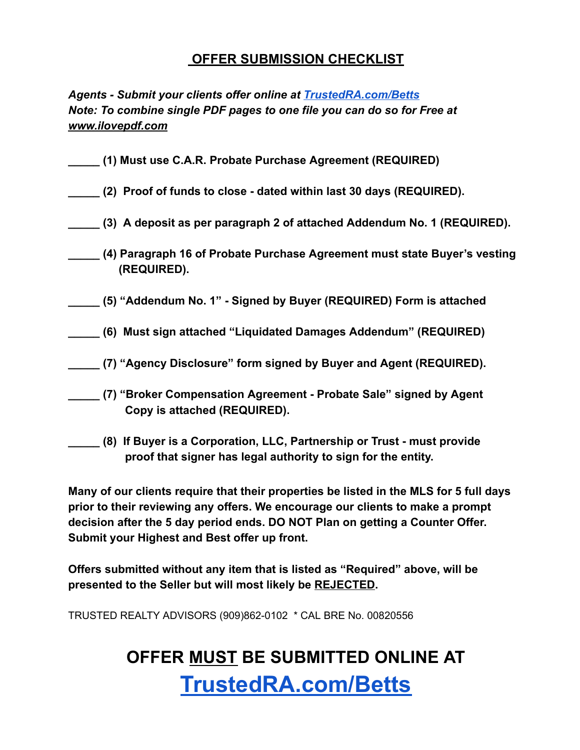### **OFFER SUBMISSION CHECKLIST**

*Agents - Submit your clients offer online at [TrustedRA.com/Betts](http://trustedra.com/Betts) Note: To combine single PDF pages to one file you can do so for Free at [www.ilovepdf.com](http://www.ilovepdf.com/)*

- **\_\_\_\_\_ (1) Must use C.A.R. Probate Purchase Agreement (REQUIRED)**
- **\_\_\_\_\_ (2) Proof of funds to close dated within last 30 days (REQUIRED).**
- **\_\_\_\_\_ (3) A deposit as per paragraph 2 of attached Addendum No. 1 (REQUIRED).**
- **\_\_\_\_\_ (4) Paragraph 16 of Probate Purchase Agreement must state Buyer's vesting (REQUIRED).**
- **\_\_\_\_\_ (5) "Addendum No. 1" Signed by Buyer (REQUIRED) Form is attached**
- **\_\_\_\_\_ (6) Must sign attached "Liquidated Damages Addendum" (REQUIRED)**
- **\_\_\_\_\_ (7) "Agency Disclosure" form signed by Buyer and Agent (REQUIRED).**
- **\_\_\_\_\_ (7) "Broker Compensation Agreement Probate Sale" signed by Agent Copy is attached (REQUIRED).**
- **\_\_\_\_\_ (8) If Buyer is a Corporation, LLC, Partnership or Trust must provide proof that signer has legal authority to sign for the entity.**

**Many of our clients require that their properties be listed in the MLS for 5 full days prior to their reviewing any offers. We encourage our clients to make a prompt decision after the 5 day period ends. DO NOT Plan on getting a Counter Offer. Submit your Highest and Best offer up front.**

**Offers submitted without any item that is listed as "Required" above, will be presented to the Seller but will most likely be REJECTED .**

TRUSTED REALTY ADVISORS (909)862-0102 \* CAL BRE No. 00820556

# **OFFER MUST BE SUBMITTED ONLINE AT [TrustedRA.com/Betts](http://trustedra.com/Betts)**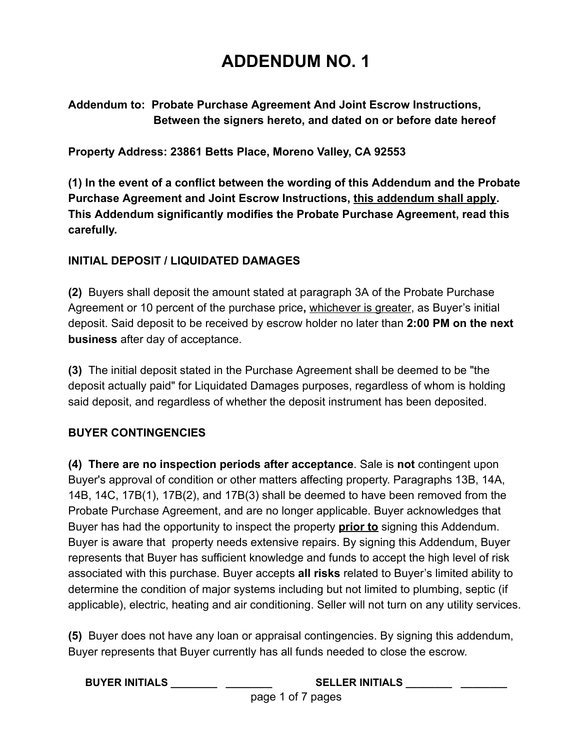## **ADDENDUM NO. 1**

**Addendum to: Probate Purchase Agreement And Joint Escrow Instructions, Between the signers hereto, and dated on or before date hereof**

**Property Address: 23861 Betts Place, Moreno Valley, CA 92553**

**(1) In the event of a conflict between the wording of this Addendum and the Probate Purchase Agreement and Joint Escrow Instructions, this addendum shall apply . This Addendum significantly modifies the Probate Purchase Agreement, read this carefully.**

### **INITIAL DEPOSIT / LIQUIDATED DAMAGES**

**(2)** Buyers shall deposit the amount stated at paragraph 3A of the Probate Purchase Agreement or 10 percent of the purchase price **,** whichever is greater , as Buyer's initial deposit. Said deposit to be received by escrow holder no later than **2:00 PM on the next business** after day of acceptance.

**(3)** The initial deposit stated in the Purchase Agreement shall be deemed to be "the deposit actually paid" for Liquidated Damages purposes, regardless of whom is holding said deposit, and regardless of whether the deposit instrument has been deposited.

### **BUYER CONTINGENCIES**

**(4) There are no inspection periods after acceptance** . Sale is **not** contingent upon Buyer's approval of condition or other matters affecting property. Paragraphs 13B, 14A, 14B, 14C, 17B(1), 17B(2), and 17B(3) shall be deemed to have been removed from the Probate Purchase Agreement, and are no longer applicable. Buyer acknowledges that Buyer has had the opportunity to inspect the property **prior to** signing this Addendum. Buyer is aware that property needs extensive repairs. By signing this Addendum, Buyer represents that Buyer has sufficient knowledge and funds to accept the high level of risk associated with this purchase. Buyer accepts **all risks** related to Buyer's limited ability to determine the condition of major systems including but not limited to plumbing, septic (if applicable), electric, heating and air conditioning. Seller will not turn on any utility services.

**(5)** Buyer does not have any loan or appraisal contingencies. By signing this addendum, Buyer represents that Buyer currently has all funds needed to close the escrow.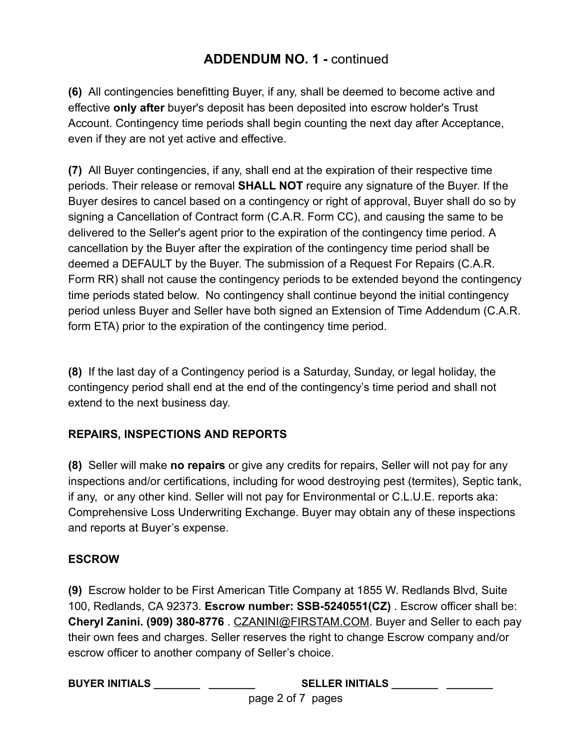**(6)** All contingencies benefitting Buyer, if any, shall be deemed to become active and effective **only after** buyer's deposit has been deposited into escrow holder's Trust Account. Contingency time periods shall begin counting the next day after Acceptance, even if they are not yet active and effective.

**(7)** All Buyer contingencies, if any, shall end at the expiration of their respective time periods. Their release or removal **SHALL NOT** require any signature of the Buyer. If the Buyer desires to cancel based on a contingency or right of approval, Buyer shall do so by signing a Cancellation of Contract form (C.A.R. Form CC), and causing the same to be delivered to the Seller's agent prior to the expiration of the contingency time period. A cancellation by the Buyer after the expiration of the contingency time period shall be deemed a DEFAULT by the Buyer. The submission of a Request For Repairs (C.A.R. Form RR) shall not cause the contingency periods to be extended beyond the contingency time periods stated below. No contingency shall continue beyond the initial contingency period unless Buyer and Seller have both signed an Extension of Time Addendum (C.A.R. form ETA) prior to the expiration of the contingency time period.

**(8)** If the last day of a Contingency period is a Saturday, Sunday, or legal holiday, the contingency period shall end at the end of the contingency's time period and shall not extend to the next business day.

### **REPAIRS, INSPECTIONS AND REPORTS**

**(8)** Seller will make **no repairs** or give any credits for repairs, Seller will not pay for any inspections and/or certifications, including for wood destroying pest (termites), Septic tank, if any, or any other kind. Seller will not pay for Environmental or C.L.U.E. reports aka: Comprehensive Loss Underwriting Exchange. Buyer may obtain any of these inspections and reports at Buyer's expense.

### **ESCROW**

**(9)** Escrow holder to be First American Title Company at 1855 W. Redlands Blvd, Suite 100, Redlands, CA 92373. **Escrow number: SSB-5240551(CZ)** . Escrow officer shall be: **Cheryl Zanini. (909) 380-8776** . [CZANINI@FIRSTAM.COM](mailto:CZANINI@FIRSTAM.COM) . Buyer and Seller to each pay their own fees and charges. Seller reserves the right to change Escrow company and/or escrow officer to another company of Seller's choice.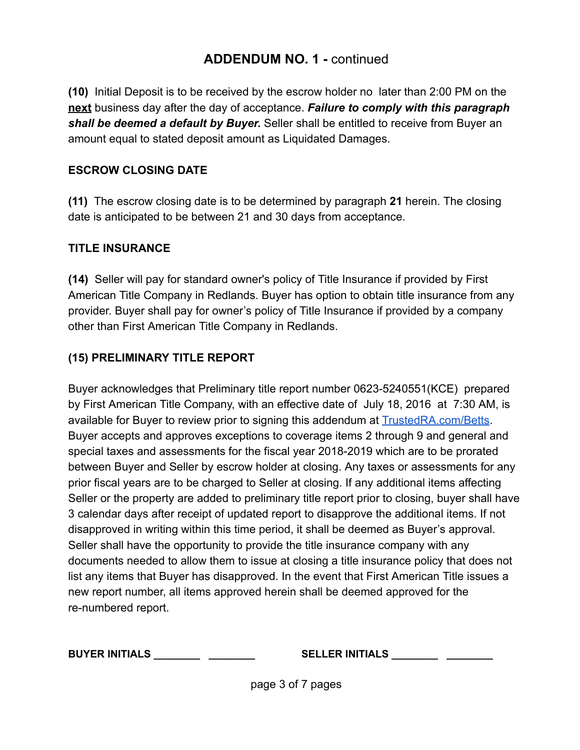**(10)** Initial Deposit is to be received by the escrow holder no later than 2:00 PM on the **next** business day after the day of acceptance. *Failure to comply with this paragraph shall be deemed a default by Buyer.* Seller shall be entitled to receive from Buyer an amount equal to stated deposit amount as Liquidated Damages.

#### **ESCROW CLOSING DATE**

**(11)** The escrow closing date is to be determined by paragraph **21** herein. The closing date is anticipated to be between 21 and 30 days from acceptance.

#### **TITLE INSURANCE**

**(14)** Seller will pay for standard owner's policy of Title Insurance if provided by First American Title Company in Redlands. Buyer has option to obtain title insurance from any provider. Buyer shall pay for owner's policy of Title Insurance if provided by a company other than First American Title Company in Redlands.

### **(15) PRELIMINARY TITLE REPORT**

Buyer acknowledges that Preliminary title report number 0623-5240551(KCE) prepared by First American Title Company, with an effective date of July 18, 2016 at 7:30 AM, is available for Buyer to review prior to signing this addendum at **[TrustedRA.com/Betts](http://trustedra.com/Betts)**. Buyer accepts and approves exceptions to coverage items 2 through 9 and general and special taxes and assessments for the fiscal year 2018-2019 which are to be prorated between Buyer and Seller by escrow holder at closing. Any taxes or assessments for any prior fiscal years are to be charged to Seller at closing. If any additional items affecting Seller or the property are added to preliminary title report prior to closing, buyer shall have 3 calendar days after receipt of updated report to disapprove the additional items. If not disapproved in writing within this time period, it shall be deemed as Buyer's approval. Seller shall have the opportunity to provide the title insurance company with any documents needed to allow them to issue at closing a title insurance policy that does not list any items that Buyer has disapproved. In the event that First American Title issues a new report number, all items approved herein shall be deemed approved for the re-numbered report.

**BUYER INITIALS \_\_\_\_\_\_\_\_ \_\_\_\_\_\_\_\_ SELLER INITIALS \_\_\_\_\_\_\_\_ \_\_\_\_\_\_\_\_**

page 3 of 7 pages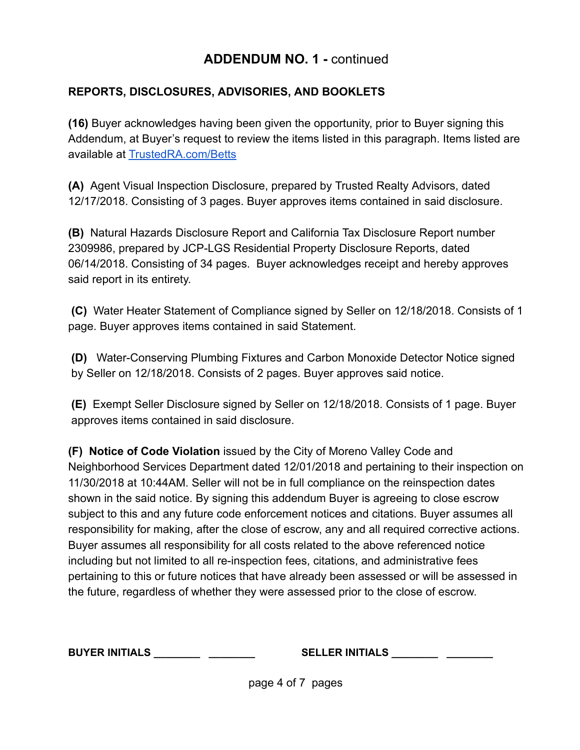### **REPORTS, DISCLOSURES, ADVISORIES, AND BOOKLETS**

**(16)** Buyer acknowledges having been given the opportunity, prior to Buyer signing this Addendum, at Buyer's request to review the items listed in this paragraph. Items listed are available at [TrustedRA.com/Betts](http://trustedra.com/Betts)

**(A)** Agent Visual Inspection Disclosure, prepared by Trusted Realty Advisors, dated 12/17/2018. Consisting of 3 pages. Buyer approves items contained in said disclosure.

**(B)** Natural Hazards Disclosure Report and California Tax Disclosure Report number 2309986, prepared by JCP-LGS Residential Property Disclosure Reports, dated 06/14/2018. Consisting of 34 pages. Buyer acknowledges receipt and hereby approves said report in its entirety.

 **(C)** Water Heater Statement of Compliance signed by Seller on 12/18/2018. Consists of 1 page. Buyer approves items contained in said Statement.

 **(D)** Water-Conserving Plumbing Fixtures and Carbon Monoxide Detector Notice signed by Seller on 12/18/2018. Consists of 2 pages. Buyer approves said notice.

 **(E)** Exempt Seller Disclosure signed by Seller on 12/18/2018. Consists of 1 page. Buyer approves items contained in said disclosure.

**(F) Notice of Code Violation** issued by the City of Moreno Valley Code and Neighborhood Services Department dated 12/01/2018 and pertaining to their inspection on 11/30/2018 at 10:44AM. Seller will not be in full compliance on the reinspection dates shown in the said notice. By signing this addendum Buyer is agreeing to close escrow subject to this and any future code enforcement notices and citations. Buyer assumes all responsibility for making, after the close of escrow, any and all required corrective actions. Buyer assumes all responsibility for all costs related to the above referenced notice including but not limited to all re-inspection fees, citations, and administrative fees pertaining to this or future notices that have already been assessed or will be assessed in the future, regardless of whether they were assessed prior to the close of escrow.

**BUYER INITIALS \_\_\_\_\_\_\_\_ \_\_\_\_\_\_\_\_ SELLER INITIALS \_\_\_\_\_\_\_\_ \_\_\_\_\_\_\_\_**

page 4 of 7 pages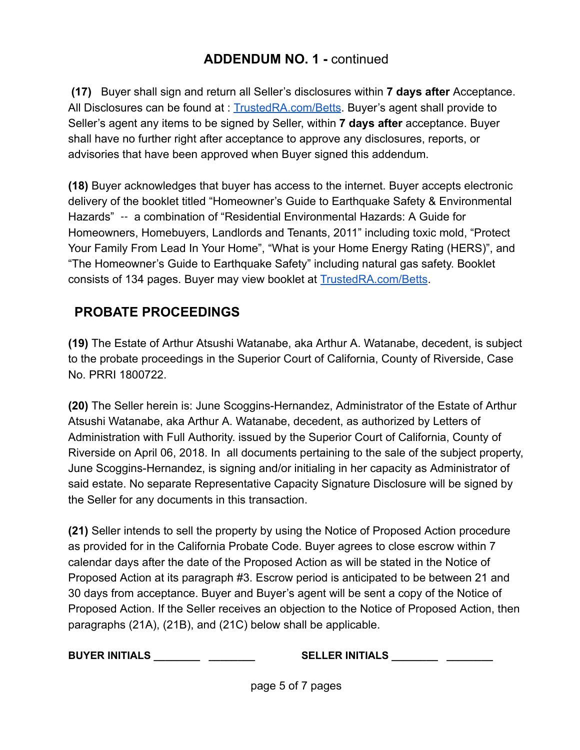**(17)** Buyer shall sign and return all Seller's disclosures within **7 days after** Acceptance. All Disclosures can be found at : [TrustedRA.com/Betts](http://trustedra.com/Betts) . Buyer's agent shall provide to Seller's agent any items to be signed by Seller, within **7 days after** acceptance. Buyer shall have no further right after acceptance to approve any disclosures, reports, or advisories that have been approved when Buyer signed this addendum.

**(18)** Buyer acknowledges that buyer has access to the internet. Buyer accepts electronic delivery of the booklet titled "Homeowner's Guide to Earthquake Safety & Environmental Hazards" ‐‐ a combination of "Residential Environmental Hazards: A Guide for Homeowners, Homebuyers, Landlords and Tenants, 2011" including toxic mold, "Protect Your Family From Lead In Your Home", "What is your Home Energy Rating (HERS)", and "The Homeowner's Guide to Earthquake Safety" including natural gas safety. Booklet consists of 134 pages. Buyer may view booklet at **TrustedRA.com/Betts**.

### **PROBATE PROCEEDINGS**

**(19)** The Estate of Arthur Atsushi Watanabe, aka Arthur A. Watanabe, decedent, is subject to the probate proceedings in the Superior Court of California, County of Riverside, Case No. PRRI 1800722.

**(20)** The Seller herein is: June Scoggins-Hernandez, Administrator of the Estate of Arthur Atsushi Watanabe, aka Arthur A. Watanabe, decedent, as authorized by Letters of Administration with Full Authority. issued by the Superior Court of California, County of Riverside on April 06, 2018. In all documents pertaining to the sale of the subject property, June Scoggins-Hernandez, is signing and/or initialing in her capacity as Administrator of said estate. No separate Representative Capacity Signature Disclosure will be signed by the Seller for any documents in this transaction.

**(21)** Seller intends to sell the property by using the Notice of Proposed Action procedure as provided for in the California Probate Code. Buyer agrees to close escrow within 7 calendar days after the date of the Proposed Action as will be stated in the Notice of Proposed Action at its paragraph #3. Escrow period is anticipated to be between 21 and 30 days from acceptance. Buyer and Buyer's agent will be sent a copy of the Notice of Proposed Action. If the Seller receives an objection to the Notice of Proposed Action, then paragraphs (21A), (21B), and (21C) below shall be applicable.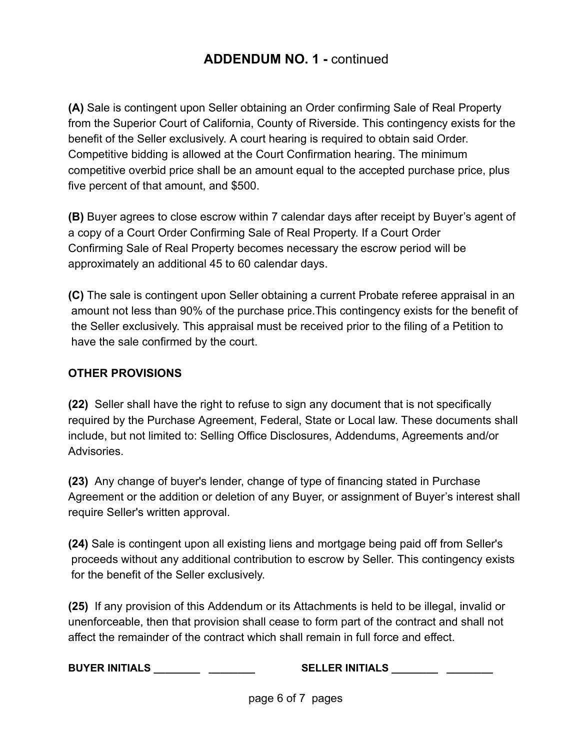**(A)** Sale is contingent upon Seller obtaining an Order confirming Sale of Real Property from the Superior Court of California, County of Riverside. This contingency exists for the benefit of the Seller exclusively. A court hearing is required to obtain said Order. Competitive bidding is allowed at the Court Confirmation hearing. The minimum competitive overbid price shall be an amount equal to the accepted purchase price, plus five percent of that amount, and \$500.

**(B)** Buyer agrees to close escrow within 7 calendar days after receipt by Buyer's agent of a copy of a Court Order Confirming Sale of Real Property. If a Court Order Confirming Sale of Real Property becomes necessary the escrow period will be approximately an additional 45 to 60 calendar days.

**(C)** The sale is contingent upon Seller obtaining a current Probate referee appraisal in an amount not less than 90% of the purchase price.This contingency exists for the benefit of the Seller exclusively. This appraisal must be received prior to the filing of a Petition to have the sale confirmed by the court.

#### **OTHER PROVISIONS**

**(22)** Seller shall have the right to refuse to sign any document that is not specifically required by the Purchase Agreement, Federal, State or Local law. These documents shall include, but not limited to: Selling Office Disclosures, Addendums, Agreements and/or Advisories.

**(23)** Any change of buyer's lender, change of type of financing stated in Purchase Agreement or the addition or deletion of any Buyer, or assignment of Buyer's interest shall require Seller's written approval.

**(24)** Sale is contingent upon all existing liens and mortgage being paid off from Seller's proceeds without any additional contribution to escrow by Seller. This contingency exists for the benefit of the Seller exclusively.

**(25)** If any provision of this Addendum or its Attachments is held to be illegal, invalid or unenforceable, then that provision shall cease to form part of the contract and shall not affect the remainder of the contract which shall remain in full force and effect.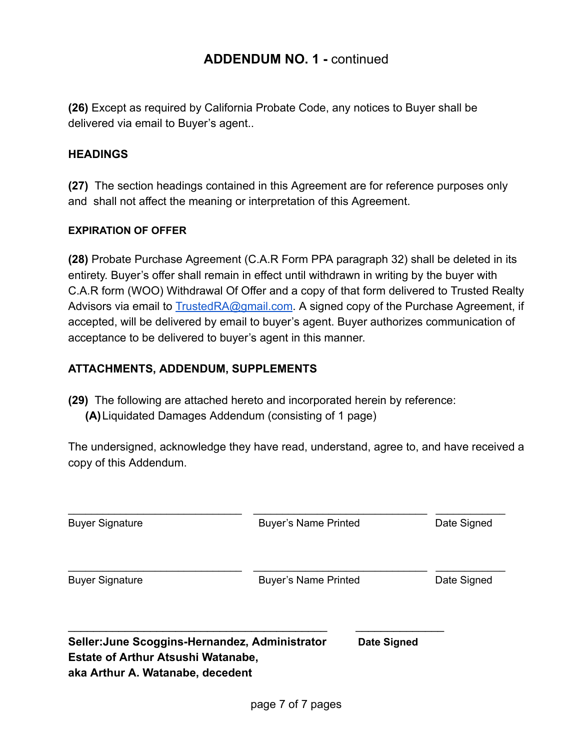**(26)** Except as required by California Probate Code, any notices to Buyer shall be delivered via email to Buyer's agent..

#### **HEADINGS**

**(27)** The section headings contained in this Agreement are for reference purposes only and shall not affect the meaning or interpretation of this Agreement.

#### **EXPIRATION OF OFFER**

**(28)** Probate Purchase Agreement (C.A.R Form PPA paragraph 32) shall be deleted in its entirety. Buyer's offer shall remain in effect until withdrawn in writing by the buyer with C.A.R form (WOO) Withdrawal Of Offer and a copy of that form delivered to Trusted Realty Advisors via email to **TrustedRA@gmail.com.** A signed copy of the Purchase Agreement, if accepted, will be delivered by email to buyer's agent. Buyer authorizes communication of acceptance to be delivered to buyer's agent in this manner.

#### **ATTACHMENTS, ADDENDUM, SUPPLEMENTS**

**(29)** The following are attached hereto and incorporated herein by reference:

**(A)**Liquidated Damages Addendum (consisting of 1 page)

The undersigned, acknowledge they have read, understand, agree to, and have received a copy of this Addendum.

| <b>Buyer Signature</b>                                                                                                          | <b>Buyer's Name Printed</b> |                             | Date Signed |
|---------------------------------------------------------------------------------------------------------------------------------|-----------------------------|-----------------------------|-------------|
| <b>Buyer Signature</b>                                                                                                          |                             | <b>Buyer's Name Printed</b> |             |
| Seller: June Scoggins-Hernandez, Administrator<br><b>Estate of Arthur Atsushi Watanabe,</b><br>aka Arthur A. Watanabe, decedent |                             | Date Signed                 |             |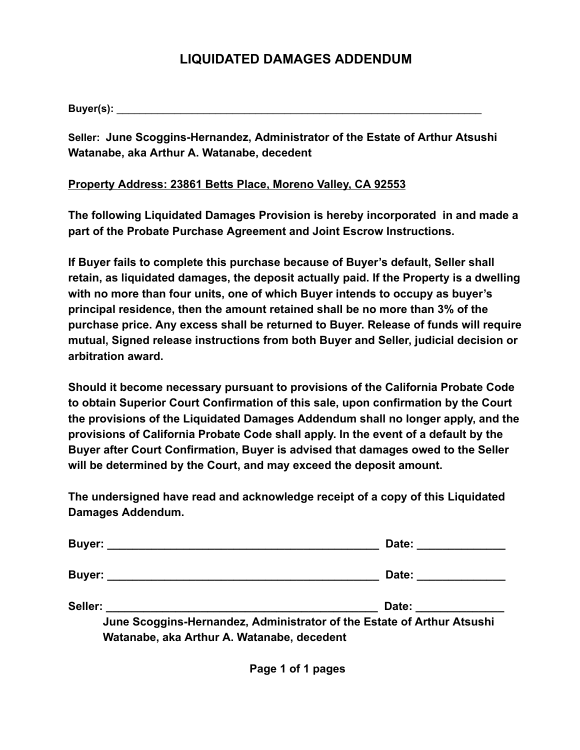### **LIQUIDATED DAMAGES ADDENDUM**

**Buyer(s):** \_\_\_\_\_\_\_\_\_\_\_\_\_\_\_\_\_\_\_\_\_\_\_\_\_\_\_\_\_\_\_\_\_\_\_\_\_\_\_\_\_\_\_\_\_\_\_\_\_\_\_\_\_\_\_\_\_\_\_\_\_\_\_

**Seller: June Scoggins-Hernandez, Administrator of the Estate of Arthur Atsushi Watanabe, aka Arthur A. Watanabe, decedent**

#### **Property Address: 23861 Betts Place, Moreno Valley, CA 92553**

**The following Liquidated Damages Provision is hereby incorporated in and made a part of the Probate Purchase Agreement and Joint Escrow Instructions.**

**If Buyer fails to complete this purchase because of Buyer's default, Seller shall retain, as liquidated damages, the deposit actually paid. If the Property is a dwelling with no more than four units, one of which Buyer intends to occupy as buyer's principal residence, then the amount retained shall be no more than 3% of the purchase price. Any excess shall be returned to Buyer. Release of funds will require mutual, Signed release instructions from both Buyer and Seller, judicial decision or arbitration award.**

**Should it become necessary pursuant to provisions of the California Probate Code to obtain Superior Court Confirmation of this sale, upon confirmation by the Court the provisions of the Liquidated Damages Addendum shall no longer apply, and the provisions of California Probate Code shall apply. In the event of a default by the Buyer after Court Confirmation, Buyer is advised that damages owed to the Seller will be determined by the Court, and may exceed the deposit amount.**

**The undersigned have read and acknowledge receipt of a copy of this Liquidated Damages Addendum.**

|                                            | Date: ___________                                                                                                                                                                                                              |
|--------------------------------------------|--------------------------------------------------------------------------------------------------------------------------------------------------------------------------------------------------------------------------------|
|                                            | Date: the contract of the contract of the contract of the contract of the contract of the contract of the contract of the contract of the contract of the contract of the contract of the contract of the contract of the cont |
| Seller:                                    | Date: the contract of the contract of the contract of the contract of the contract of the contract of the contract of the contract of the contract of the contract of the contract of the contract of the contract of the cont |
| Watanabe, aka Arthur A. Watanabe, decedent | June Scoggins-Hernandez, Administrator of the Estate of Arthur Atsushi                                                                                                                                                         |

 **Page 1 of 1 pages**